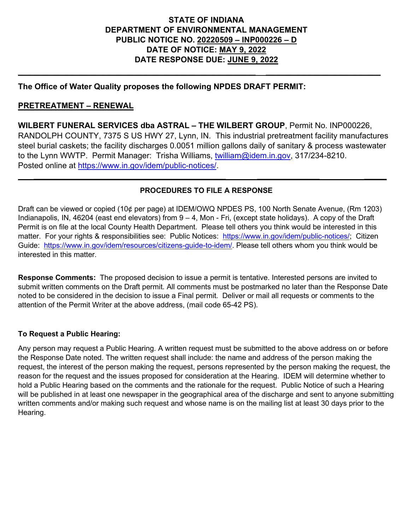#### **STATE OF INDIANA DEPARTMENT OF ENVIRONMENTAL MANAGEMENT PUBLIC NOTICE NO. 20220509 – INP000226 – D DATE OF NOTICE: MAY 9, 2022 DATE RESPONSE DUE: JUNE 9, 2022**

**\_\_\_\_\_\_\_\_\_\_\_\_\_\_\_\_\_\_\_\_\_\_\_\_\_\_\_\_\_\_\_\_\_\_\_\_\_\_\_\_\_\_\_\_\_\_\_\_\_\_\_\_\_\_\_\_\_\_ \_\_\_\_\_\_\_\_\_\_\_\_\_\_\_\_\_\_\_\_\_\_\_\_\_\_\_\_**

#### **The Office of Water Quality proposes the following NPDES DRAFT PERMIT:**

#### **PRETREATMENT – RENEWAL**

**WILBERT FUNERAL SERVICES dba ASTRAL – THE WILBERT GROUP**, Permit No. INP000226, RANDOLPH COUNTY, 7375 S US HWY 27, Lynn, IN. This industrial pretreatment facility manufactures steel burial caskets; the facility discharges 0.0051 million gallons daily of sanitary & process wastewater to the Lynn WWTP. Permit Manager: Trisha Williams, [twilliam@idem.in.gov,](mailto:twilliam@idem.in.gov) 317/234-8210. Posted online at [https://www.in.gov/idem/public-notices/.](https://www.in.gov/idem/public-notices/)

#### **PROCEDURES TO FILE A RESPONSE**

 **\_\_\_\_\_\_\_\_\_\_\_\_\_\_\_\_\_\_\_\_\_\_\_\_\_\_\_\_\_\_\_\_\_\_\_\_\_\_\_\_\_\_\_ \_\_\_\_\_\_\_\_\_\_\_\_\_\_ \_\_\_\_\_**

Draft can be viewed or copied (10¢ per page) at IDEM/OWQ NPDES PS, 100 North Senate Avenue, (Rm 1203) Indianapolis, IN, 46204 (east end elevators) from 9 – 4, Mon - Fri, (except state holidays). A copy of the Draft Permit is on file at the local County Health Department. Please tell others you think would be interested in this matter. For your rights & responsibilities see: Public Notices: [https://www.in.gov/idem/public-notices/;](https://www.in.gov/idem/public-notices/) Citizen Guide: [https://www.in.gov/idem/resources/citizens-guide-to-idem/.](https://www.in.gov/idem/resources/citizens-guide-to-idem/) Please tell others whom you think would be interested in this matter.

**Response Comments:** The proposed decision to issue a permit is tentative. Interested persons are invited to submit written comments on the Draft permit. All comments must be postmarked no later than the Response Date noted to be considered in the decision to issue a Final permit. Deliver or mail all requests or comments to the attention of the Permit Writer at the above address, (mail code 65-42 PS).

#### **To Request a Public Hearing:**

Any person may request a Public Hearing. A written request must be submitted to the above address on or before the Response Date noted. The written request shall include: the name and address of the person making the request, the interest of the person making the request, persons represented by the person making the request, the reason for the request and the issues proposed for consideration at the Hearing. IDEM will determine whether to hold a Public Hearing based on the comments and the rationale for the request. Public Notice of such a Hearing will be published in at least one newspaper in the geographical area of the discharge and sent to anyone submitting written comments and/or making such request and whose name is on the mailing list at least 30 days prior to the Hearing.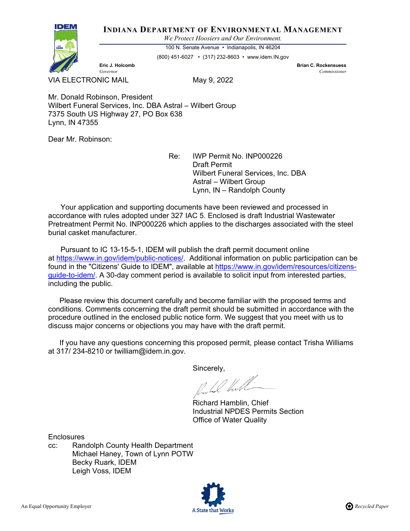#### **INDIANA DEPARTMENT OF ENVIRONMENTAL MANAGEMENT**

*We Protect Hoosiers and Our Environment.*



100 N. Senate Avenue • Indianapolis, IN 46204

(800) 451-6027 • (317) 232-8603 • www.idem.IN.gov

**Eric J. Holcomb Brian C. Rockensuess** *Governor Commissioner* 

VIA ELECTRONIC MAIL May 9, 2022

Mr. Donald Robinson, President Wilbert Funeral Services, Inc. DBA Astral – Wilbert Group 7375 South US Highway 27, PO Box 638 Lynn, IN 47355

Dear Mr. Robinson:

Re: IWP Permit No. INP000226 Draft Permit Wilbert Funeral Services, Inc. DBA Astral – Wilbert Group Lynn, IN – Randolph County

 Your application and supporting documents have been reviewed and processed in accordance with rules adopted under 327 IAC 5. Enclosed is draft Industrial Wastewater Pretreatment Permit No. INP000226 which applies to the discharges associated with the steel burial casket manufacturer.

 Pursuant to IC 13-15-5-1, IDEM will publish the draft permit document online at [https://www.in.gov/idem/public-notices/.](https://www.in.gov/idem/public-notices/) Additional information on public participation can be found in the "Citizens' Guide to IDEM", available at [https://www.in.gov/idem/resources/citizens](https://www.in.gov/idem/resources/citizens-guide-to-idem/)[guide-to-idem/.](https://www.in.gov/idem/resources/citizens-guide-to-idem/) A 30-day comment period is available to solicit input from interested parties, including the public.

 Please review this document carefully and become familiar with the proposed terms and conditions. Comments concerning the draft permit should be submitted in accordance with the procedure outlined in the enclosed public notice form. We suggest that you meet with us to discuss major concerns or objections you may have with the draft permit.

 If you have any questions concerning this proposed permit, please contact Trisha Williams at 317/ 234-8210 or twilliam@idem.in.gov.

Sincerely,

Inches that

Richard Hamblin, Chief Industrial NPDES Permits Section Office of Water Quality

**Enclosures** 

cc: Randolph County Health Department Michael Haney, Town of Lynn POTW Becky Ruark, IDEM Leigh Voss, IDEM

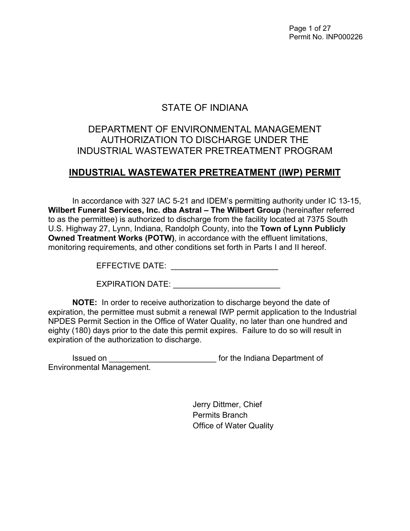Page 1 of 27 Permit No. INP000226

## STATE OF INDIANA

## DEPARTMENT OF ENVIRONMENTAL MANAGEMENT AUTHORIZATION TO DISCHARGE UNDER THE INDUSTRIAL WASTEWATER PRETREATMENT PROGRAM

## **INDUSTRIAL WASTEWATER PRETREATMENT (IWP) PERMIT**

In accordance with 327 IAC 5-21 and IDEM's permitting authority under IC 13-15, **Wilbert Funeral Services, Inc. dba Astral – The Wilbert Group** (hereinafter referred to as the permittee) is authorized to discharge from the facility located at 7375 South U.S. Highway 27, Lynn, Indiana, Randolph County, into the **Town of Lynn Publicly Owned Treatment Works (POTW)**, in accordance with the effluent limitations, monitoring requirements, and other conditions set forth in Parts I and II hereof.

EFFECTIVE DATE: \_\_\_\_\_\_\_\_\_\_\_\_\_\_\_\_\_\_\_\_\_\_\_\_

EXPIRATION DATE: \_\_\_\_\_\_\_\_\_\_\_\_\_\_\_\_\_\_\_\_\_\_\_\_

**NOTE:** In order to receive authorization to discharge beyond the date of expiration, the permittee must submit a renewal IWP permit application to the Industrial NPDES Permit Section in the Office of Water Quality, no later than one hundred and eighty (180) days prior to the date this permit expires. Failure to do so will result in expiration of the authorization to discharge.

Issued on \_\_\_\_\_\_\_\_\_\_\_\_\_\_\_\_\_\_\_\_\_\_\_\_ for the Indiana Department of Environmental Management.

> Jerry Dittmer, Chief Permits Branch Office of Water Quality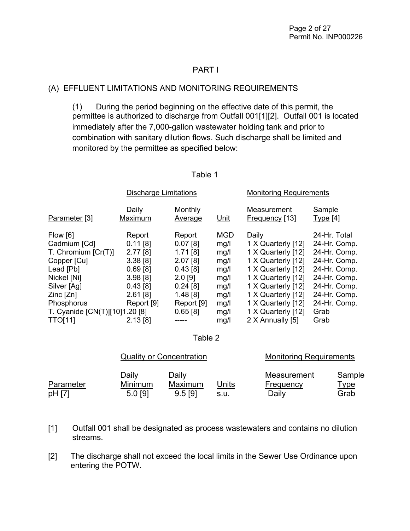#### PART I

#### (A) EFFLUENT LIMITATIONS AND MONITORING REQUIREMENTS

 (1) During the period beginning on the effective date of this permit, the permittee is authorized to discharge from Outfall 001[1][2]. Outfall 001 is located immediately after the 7,000-gallon wastewater holding tank and prior to combination with sanitary dilution flows. Such discharge shall be limited and monitored by the permittee as specified below:

|                                | <b>Discharge Limitations</b> |                    |            | <b>Monitoring Requirements</b> |                    |  |
|--------------------------------|------------------------------|--------------------|------------|--------------------------------|--------------------|--|
| Parameter [3]                  | Daily<br>Maximum             | Monthly<br>Average | Unit       | Measurement<br>Frequency [13]  | Sample<br>Type [4] |  |
| Flow [6]                       | Report                       | Report             | <b>MGD</b> | Daily                          | 24-Hr. Total       |  |
| Cadmium [Cd]                   | $0.11$ [8]                   | $0.07$ [8]         | mg/l       | 1 X Quarterly [12]             | 24-Hr. Comp.       |  |
| T. Chromium $[Cr(T)]$          | 2.77 [8]                     | $1.71$ [8]         | mg/l       | 1 X Quarterly [12]             | 24-Hr. Comp.       |  |
| Copper [Cu]                    | 3.38[8]                      | 2.07[8]            | mg/l       | 1 X Quarterly [12]             | 24-Hr. Comp.       |  |
| Lead [Pb]                      | $0.69$ [8]                   | 0.43[8]            | mg/l       | 1 X Quarterly [12]             | 24-Hr. Comp.       |  |
| Nickel [Ni]                    | 3.98[8]                      | $2.0$ [9]          | mg/l       | 1 X Quarterly [12]             | 24-Hr. Comp.       |  |
| Silver [Ag]                    | 0.43[8]                      | $0.24$ [8]         | mg/l       | 1 X Quarterly [12]             | 24-Hr. Comp.       |  |
| $Zinc$ $[Zn]$                  | $2.61$ [8]                   | 1.48[8]            | mg/l       | 1 X Quarterly [12]             | 24-Hr. Comp.       |  |
| Phosphorus                     | Report [9]                   | Report [9]         | mg/l       | 1 X Quarterly [12]             | 24-Hr. Comp.       |  |
| T. Cyanide [CN(T)][10]1.20 [8] |                              | 0.65[8]            | mg/l       | 1 X Quarterly [12]             | Grab               |  |
| <b>TTO[11]</b>                 | 2.13[8]                      |                    | mg/l       | 2 X Annually [5]               | Grab               |  |

#### Table 1

#### Table 2

|           |                | <b>Quality or Concentration</b> |       |             | <b>Monitoring Requirements</b> |  |
|-----------|----------------|---------------------------------|-------|-------------|--------------------------------|--|
|           | Daily          | Daily                           |       | Measurement | Sample                         |  |
| Parameter | <b>Minimum</b> | Maximum                         | Units | Frequency   | <u>Type</u>                    |  |
| pH [7]    | $5.0$ [9]      | $9.5$ [9]                       | s.u.  | Daily       | Grab                           |  |

- [1] Outfall 001 shall be designated as process wastewaters and contains no dilution streams.
- [2] The discharge shall not exceed the local limits in the Sewer Use Ordinance upon entering the POTW.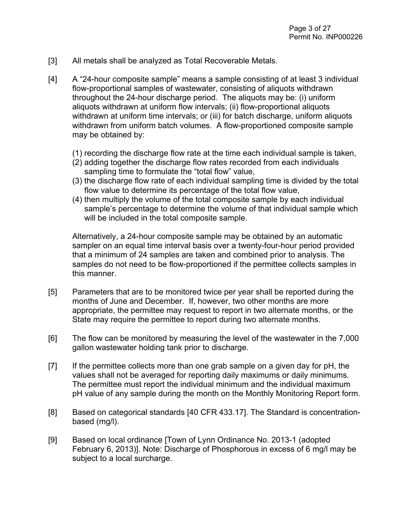- [3] All metals shall be analyzed as Total Recoverable Metals.
- [4] A "24-hour composite sample" means a sample consisting of at least 3 individual flow-proportional samples of wastewater, consisting of aliquots withdrawn throughout the 24-hour discharge period. The aliquots may be: (i) uniform aliquots withdrawn at uniform flow intervals; (ii) flow-proportional aliquots withdrawn at uniform time intervals; or (iii) for batch discharge, uniform aliquots withdrawn from uniform batch volumes. A flow-proportioned composite sample may be obtained by:
	- (1) recording the discharge flow rate at the time each individual sample is taken,
	- (2) adding together the discharge flow rates recorded from each individuals sampling time to formulate the "total flow" value,
	- (3) the discharge flow rate of each individual sampling time is divided by the total flow value to determine its percentage of the total flow value,
	- (4) then multiply the volume of the total composite sample by each individual sample's percentage to determine the volume of that individual sample which will be included in the total composite sample.

Alternatively, a 24-hour composite sample may be obtained by an automatic sampler on an equal time interval basis over a twenty-four-hour period provided that a minimum of 24 samples are taken and combined prior to analysis. The samples do not need to be flow-proportioned if the permittee collects samples in this manner.

- [5] Parameters that are to be monitored twice per year shall be reported during the months of June and December. If, however, two other months are more appropriate, the permittee may request to report in two alternate months, or the State may require the permittee to report during two alternate months.
- [6] The flow can be monitored by measuring the level of the wastewater in the 7,000 gallon wastewater holding tank prior to discharge.
- [7] If the permittee collects more than one grab sample on a given day for pH, the values shall not be averaged for reporting daily maximums or daily minimums. The permittee must report the individual minimum and the individual maximum pH value of any sample during the month on the Monthly Monitoring Report form.
- [8] Based on categorical standards [40 CFR 433.17]. The Standard is concentrationbased (mg/l).
- [9] Based on local ordinance [Town of Lynn Ordinance No. 2013-1 (adopted February 6, 2013)]. Note: Discharge of Phosphorous in excess of 6 mg/l may be subject to a local surcharge.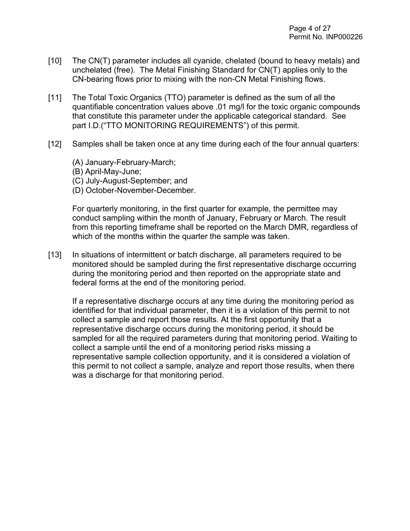- [10] The CN(T) parameter includes all cyanide, chelated (bound to heavy metals) and unchelated (free). The Metal Finishing Standard for CN(T) applies only to the CN-bearing flows prior to mixing with the non-CN Metal Finishing flows.
- [11] The Total Toxic Organics (TTO) parameter is defined as the sum of all the quantifiable concentration values above .01 mg/l for the toxic organic compounds that constitute this parameter under the applicable categorical standard. See part I.D.("TTO MONITORING REQUIREMENTS") of this permit.
- [12] Samples shall be taken once at any time during each of the four annual quarters:
	- (A) January-February-March;
	- (B) April-May-June;
	- (C) July-August-September; and
	- (D) October-November-December.

For quarterly monitoring, in the first quarter for example, the permittee may conduct sampling within the month of January, February or March. The result from this reporting timeframe shall be reported on the March DMR, regardless of which of the months within the quarter the sample was taken.

[13] In situations of intermittent or batch discharge, all parameters required to be monitored should be sampled during the first representative discharge occurring during the monitoring period and then reported on the appropriate state and federal forms at the end of the monitoring period.

If a representative discharge occurs at any time during the monitoring period as identified for that individual parameter, then it is a violation of this permit to not collect a sample and report those results. At the first opportunity that a representative discharge occurs during the monitoring period, it should be sampled for all the required parameters during that monitoring period. Waiting to collect a sample until the end of a monitoring period risks missing a representative sample collection opportunity, and it is considered a violation of this permit to not collect a sample, analyze and report those results, when there was a discharge for that monitoring period.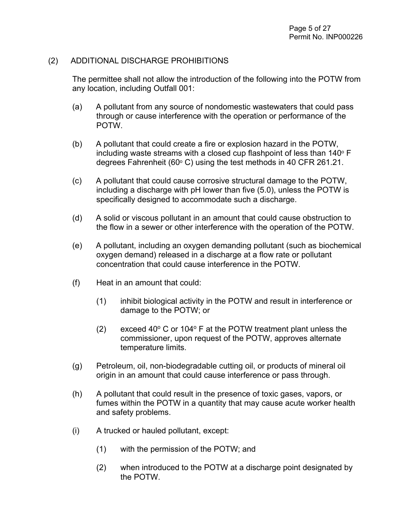#### (2) ADDITIONAL DISCHARGE PROHIBITIONS

The permittee shall not allow the introduction of the following into the POTW from any location, including Outfall 001:

- (a) A pollutant from any source of nondomestic wastewaters that could pass through or cause interference with the operation or performance of the POTW.
- (b) A pollutant that could create a fire or explosion hazard in the POTW, including waste streams with a closed cup flashpoint of less than  $140^\circ$  F degrees Fahrenheit (60 $\degree$  C) using the test methods in 40 CFR 261.21.
- (c) A pollutant that could cause corrosive structural damage to the POTW, including a discharge with pH lower than five (5.0), unless the POTW is specifically designed to accommodate such a discharge.
- (d) A solid or viscous pollutant in an amount that could cause obstruction to the flow in a sewer or other interference with the operation of the POTW.
- (e) A pollutant, including an oxygen demanding pollutant (such as biochemical oxygen demand) released in a discharge at a flow rate or pollutant concentration that could cause interference in the POTW.
- (f) Heat in an amount that could:
	- (1) inhibit biological activity in the POTW and result in interference or damage to the POTW; or
	- (2) exceed 40 $\degree$  C or 104 $\degree$  F at the POTW treatment plant unless the commissioner, upon request of the POTW, approves alternate temperature limits.
- (g) Petroleum, oil, non-biodegradable cutting oil, or products of mineral oil origin in an amount that could cause interference or pass through.
- (h) A pollutant that could result in the presence of toxic gases, vapors, or fumes within the POTW in a quantity that may cause acute worker health and safety problems.
- (i) A trucked or hauled pollutant, except:
	- (1) with the permission of the POTW; and
	- (2) when introduced to the POTW at a discharge point designated by the POTW.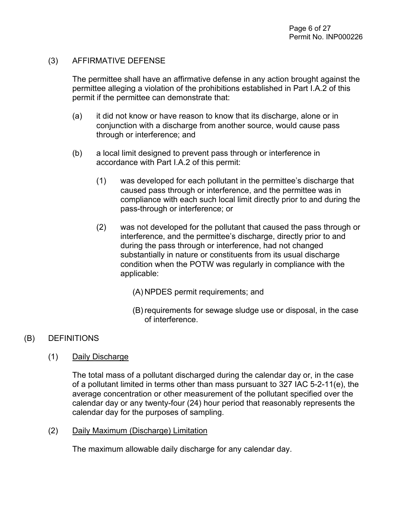#### (3) AFFIRMATIVE DEFENSE

The permittee shall have an affirmative defense in any action brought against the permittee alleging a violation of the prohibitions established in Part I.A.2 of this permit if the permittee can demonstrate that:

- (a) it did not know or have reason to know that its discharge, alone or in conjunction with a discharge from another source, would cause pass through or interference; and
- (b) a local limit designed to prevent pass through or interference in accordance with Part I.A.2 of this permit:
	- (1) was developed for each pollutant in the permittee's discharge that caused pass through or interference, and the permittee was in compliance with each such local limit directly prior to and during the pass-through or interference; or
	- (2) was not developed for the pollutant that caused the pass through or interference, and the permittee's discharge, directly prior to and during the pass through or interference, had not changed substantially in nature or constituents from its usual discharge condition when the POTW was regularly in compliance with the applicable:
		- (A) NPDES permit requirements; and
		- (B) requirements for sewage sludge use or disposal, in the case of interference.

#### (B) DEFINITIONS

(1) Daily Discharge

The total mass of a pollutant discharged during the calendar day or, in the case of a pollutant limited in terms other than mass pursuant to 327 IAC 5-2-11(e), the average concentration or other measurement of the pollutant specified over the calendar day or any twenty-four (24) hour period that reasonably represents the calendar day for the purposes of sampling.

#### (2) Daily Maximum (Discharge) Limitation

The maximum allowable daily discharge for any calendar day.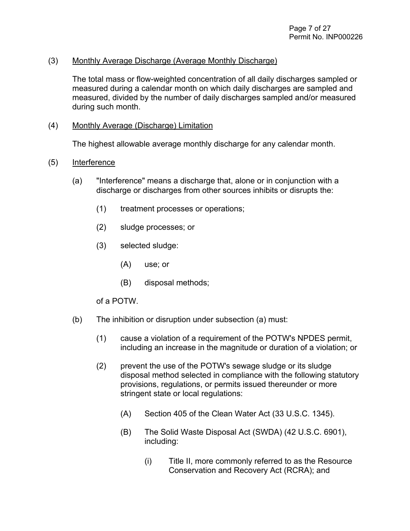#### (3) Monthly Average Discharge (Average Monthly Discharge)

The total mass or flow-weighted concentration of all daily discharges sampled or measured during a calendar month on which daily discharges are sampled and measured, divided by the number of daily discharges sampled and/or measured during such month.

#### (4) Monthly Average (Discharge) Limitation

The highest allowable average monthly discharge for any calendar month.

#### (5) Interference

- (a) "Interference" means a discharge that, alone or in conjunction with a discharge or discharges from other sources inhibits or disrupts the:
	- (1) treatment processes or operations;
	- (2) sludge processes; or
	- (3) selected sludge:
		- (A) use; or
		- (B) disposal methods;

#### of a POTW.

- (b) The inhibition or disruption under subsection (a) must:
	- (1) cause a violation of a requirement of the POTW's NPDES permit, including an increase in the magnitude or duration of a violation; or
	- (2) prevent the use of the POTW's sewage sludge or its sludge disposal method selected in compliance with the following statutory provisions, regulations, or permits issued thereunder or more stringent state or local regulations:
		- (A) Section 405 of the Clean Water Act (33 U.S.C. 1345).
		- (B) The Solid Waste Disposal Act (SWDA) (42 U.S.C. 6901), including:
			- (i) Title II, more commonly referred to as the Resource Conservation and Recovery Act (RCRA); and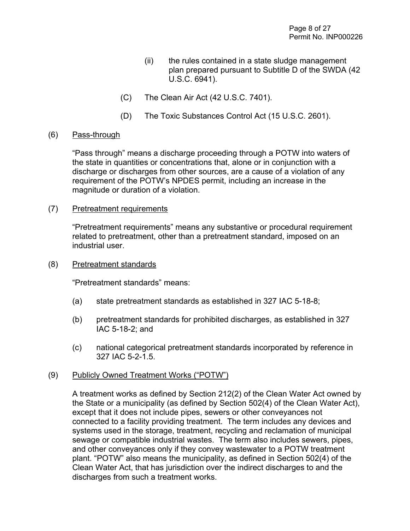- (ii) the rules contained in a state sludge management plan prepared pursuant to Subtitle D of the SWDA (42 U.S.C. 6941).
- (C) The Clean Air Act (42 U.S.C. 7401).
- (D) The Toxic Substances Control Act (15 U.S.C. 2601).

#### (6) Pass-through

"Pass through" means a discharge proceeding through a POTW into waters of the state in quantities or concentrations that, alone or in conjunction with a discharge or discharges from other sources, are a cause of a violation of any requirement of the POTW's NPDES permit, including an increase in the magnitude or duration of a violation.

(7) Pretreatment requirements

"Pretreatment requirements" means any substantive or procedural requirement related to pretreatment, other than a pretreatment standard, imposed on an industrial user.

(8) Pretreatment standards

"Pretreatment standards" means:

- (a) state pretreatment standards as established in 327 IAC 5-18-8;
- (b) pretreatment standards for prohibited discharges, as established in 327 IAC 5-18-2; and
- (c) national categorical pretreatment standards incorporated by reference in 327 IAC 5-2-1.5.

#### (9) Publicly Owned Treatment Works ("POTW")

A treatment works as defined by Section 212(2) of the Clean Water Act owned by the State or a municipality (as defined by Section 502(4) of the Clean Water Act), except that it does not include pipes, sewers or other conveyances not connected to a facility providing treatment. The term includes any devices and systems used in the storage, treatment, recycling and reclamation of municipal sewage or compatible industrial wastes. The term also includes sewers, pipes, and other conveyances only if they convey wastewater to a POTW treatment plant. "POTW" also means the municipality, as defined in Section 502(4) of the Clean Water Act, that has jurisdiction over the indirect discharges to and the discharges from such a treatment works.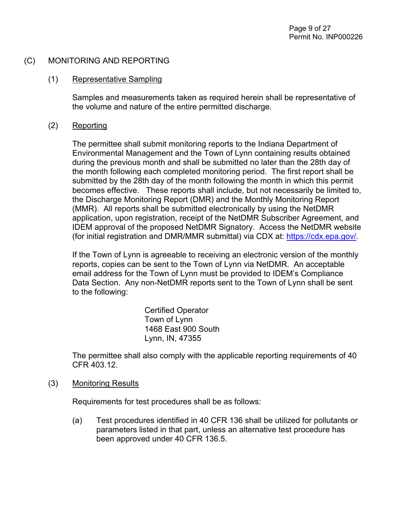#### (C) MONITORING AND REPORTING

#### (1) Representative Sampling

Samples and measurements taken as required herein shall be representative of the volume and nature of the entire permitted discharge.

#### (2) Reporting

The permittee shall submit monitoring reports to the Indiana Department of Environmental Management and the Town of Lynn containing results obtained during the previous month and shall be submitted no later than the 28th day of the month following each completed monitoring period. The first report shall be submitted by the 28th day of the month following the month in which this permit becomes effective. These reports shall include, but not necessarily be limited to, the Discharge Monitoring Report (DMR) and the Monthly Monitoring Report (MMR). All reports shall be submitted electronically by using the NetDMR application, upon registration, receipt of the NetDMR Subscriber Agreement, and IDEM approval of the proposed NetDMR Signatory. Access the NetDMR website (for initial registration and DMR/MMR submittal) via CDX at: [https://cdx.epa.gov/.](https://cdx.epa.gov/)

If the Town of Lynn is agreeable to receiving an electronic version of the monthly reports, copies can be sent to the Town of Lynn via NetDMR. An acceptable email address for the Town of Lynn must be provided to IDEM's Compliance Data Section. Any non-NetDMR reports sent to the Town of Lynn shall be sent to the following:

> Certified Operator Town of Lynn 1468 East 900 South Lynn, IN, 47355

The permittee shall also comply with the applicable reporting requirements of 40 CFR 403.12.

#### (3) Monitoring Results

Requirements for test procedures shall be as follows:

(a) Test procedures identified in 40 CFR 136 shall be utilized for pollutants or parameters listed in that part, unless an alternative test procedure has been approved under 40 CFR 136.5.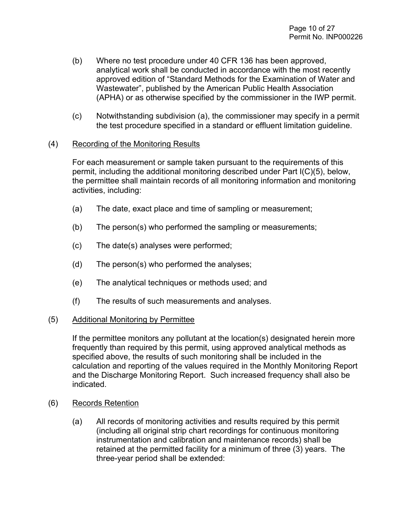- (b) Where no test procedure under 40 CFR 136 has been approved, analytical work shall be conducted in accordance with the most recently approved edition of "Standard Methods for the Examination of Water and Wastewater", published by the American Public Health Association (APHA) or as otherwise specified by the commissioner in the IWP permit.
- (c) Notwithstanding subdivision (a), the commissioner may specify in a permit the test procedure specified in a standard or effluent limitation guideline.

#### (4) Recording of the Monitoring Results

For each measurement or sample taken pursuant to the requirements of this permit, including the additional monitoring described under Part I(C)(5), below, the permittee shall maintain records of all monitoring information and monitoring activities, including:

- (a) The date, exact place and time of sampling or measurement;
- (b) The person(s) who performed the sampling or measurements;
- (c) The date(s) analyses were performed;
- (d) The person(s) who performed the analyses;
- (e) The analytical techniques or methods used; and
- (f) The results of such measurements and analyses.

#### (5) Additional Monitoring by Permittee

If the permittee monitors any pollutant at the location(s) designated herein more frequently than required by this permit, using approved analytical methods as specified above, the results of such monitoring shall be included in the calculation and reporting of the values required in the Monthly Monitoring Report and the Discharge Monitoring Report. Such increased frequency shall also be indicated.

- (6) Records Retention
	- (a) All records of monitoring activities and results required by this permit (including all original strip chart recordings for continuous monitoring instrumentation and calibration and maintenance records) shall be retained at the permitted facility for a minimum of three (3) years. The three-year period shall be extended: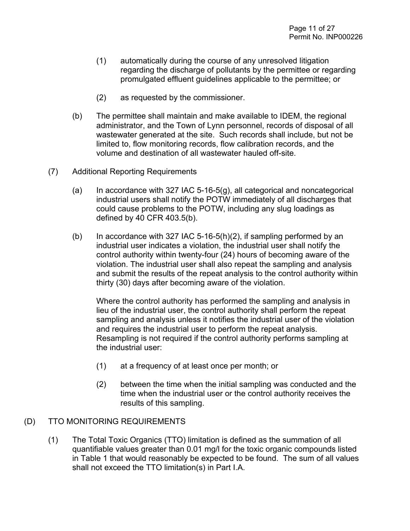- (1) automatically during the course of any unresolved litigation regarding the discharge of pollutants by the permittee or regarding promulgated effluent guidelines applicable to the permittee; or
- (2) as requested by the commissioner.
- (b) The permittee shall maintain and make available to IDEM, the regional administrator, and the Town of Lynn personnel, records of disposal of all wastewater generated at the site. Such records shall include, but not be limited to, flow monitoring records, flow calibration records, and the volume and destination of all wastewater hauled off-site.
- (7) Additional Reporting Requirements
	- $(a)$  In accordance with 327 IAC 5-16-5 $(g)$ , all categorical and noncategorical industrial users shall notify the POTW immediately of all discharges that could cause problems to the POTW, including any slug loadings as defined by 40 CFR 403.5(b).
	- (b) In accordance with 327 IAC 5-16-5(h)(2), if sampling performed by an industrial user indicates a violation, the industrial user shall notify the control authority within twenty-four (24) hours of becoming aware of the violation. The industrial user shall also repeat the sampling and analysis and submit the results of the repeat analysis to the control authority within thirty (30) days after becoming aware of the violation.

Where the control authority has performed the sampling and analysis in lieu of the industrial user, the control authority shall perform the repeat sampling and analysis unless it notifies the industrial user of the violation and requires the industrial user to perform the repeat analysis. Resampling is not required if the control authority performs sampling at the industrial user:

- (1) at a frequency of at least once per month; or
- (2) between the time when the initial sampling was conducted and the time when the industrial user or the control authority receives the results of this sampling.

#### (D) TTO MONITORING REQUIREMENTS

(1) The Total Toxic Organics (TTO) limitation is defined as the summation of all quantifiable values greater than 0.01 mg/l for the toxic organic compounds listed in Table 1 that would reasonably be expected to be found. The sum of all values shall not exceed the TTO limitation(s) in Part I.A.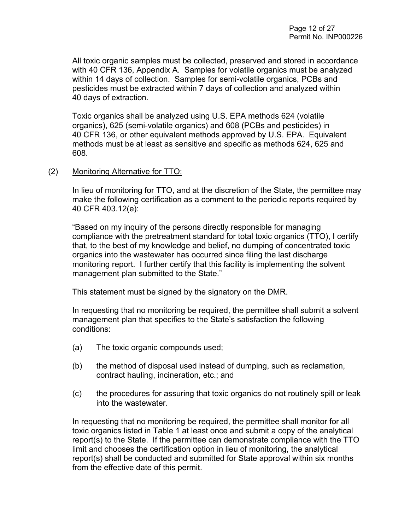All toxic organic samples must be collected, preserved and stored in accordance with 40 CFR 136, Appendix A. Samples for volatile organics must be analyzed within 14 days of collection. Samples for semi-volatile organics, PCBs and pesticides must be extracted within 7 days of collection and analyzed within 40 days of extraction.

Toxic organics shall be analyzed using U.S. EPA methods 624 (volatile organics), 625 (semi-volatile organics) and 608 (PCBs and pesticides) in 40 CFR 136, or other equivalent methods approved by U.S. EPA. Equivalent methods must be at least as sensitive and specific as methods 624, 625 and 608.

#### (2) Monitoring Alternative for TTO:

In lieu of monitoring for TTO, and at the discretion of the State, the permittee may make the following certification as a comment to the periodic reports required by 40 CFR 403.12(e):

"Based on my inquiry of the persons directly responsible for managing compliance with the pretreatment standard for total toxic organics (TTO), I certify that, to the best of my knowledge and belief, no dumping of concentrated toxic organics into the wastewater has occurred since filing the last discharge monitoring report. I further certify that this facility is implementing the solvent management plan submitted to the State."

This statement must be signed by the signatory on the DMR.

In requesting that no monitoring be required, the permittee shall submit a solvent management plan that specifies to the State's satisfaction the following conditions:

- (a) The toxic organic compounds used;
- (b) the method of disposal used instead of dumping, such as reclamation, contract hauling, incineration, etc.; and
- (c) the procedures for assuring that toxic organics do not routinely spill or leak into the wastewater.

In requesting that no monitoring be required, the permittee shall monitor for all toxic organics listed in Table 1 at least once and submit a copy of the analytical report(s) to the State. If the permittee can demonstrate compliance with the TTO limit and chooses the certification option in lieu of monitoring, the analytical report(s) shall be conducted and submitted for State approval within six months from the effective date of this permit.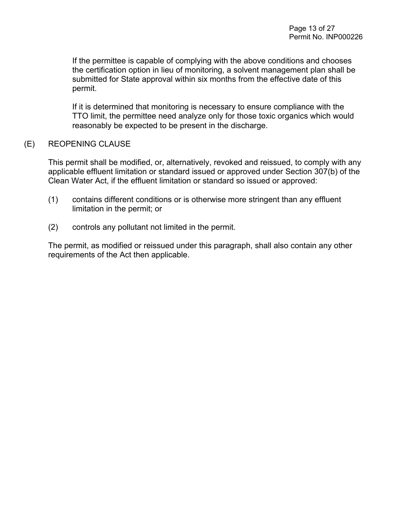If the permittee is capable of complying with the above conditions and chooses the certification option in lieu of monitoring, a solvent management plan shall be submitted for State approval within six months from the effective date of this permit.

If it is determined that monitoring is necessary to ensure compliance with the TTO limit, the permittee need analyze only for those toxic organics which would reasonably be expected to be present in the discharge.

#### (E) REOPENING CLAUSE

This permit shall be modified, or, alternatively, revoked and reissued, to comply with any applicable effluent limitation or standard issued or approved under Section 307(b) of the Clean Water Act, if the effluent limitation or standard so issued or approved:

- (1) contains different conditions or is otherwise more stringent than any effluent limitation in the permit; or
- (2) controls any pollutant not limited in the permit.

The permit, as modified or reissued under this paragraph, shall also contain any other requirements of the Act then applicable.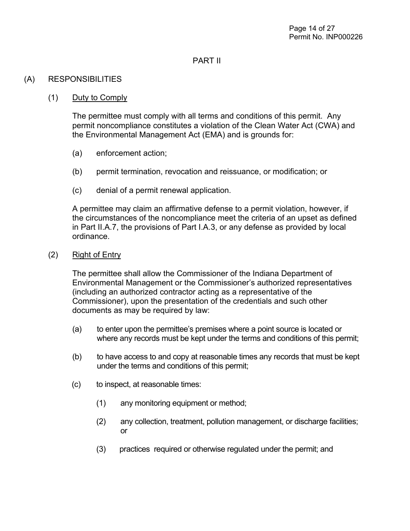#### PART II

#### (A) RESPONSIBILITIES

#### (1) Duty to Comply

The permittee must comply with all terms and conditions of this permit. Any permit noncompliance constitutes a violation of the Clean Water Act (CWA) and the Environmental Management Act (EMA) and is grounds for:

- (a) enforcement action;
- (b) permit termination, revocation and reissuance, or modification; or
- (c) denial of a permit renewal application.

A permittee may claim an affirmative defense to a permit violation, however, if the circumstances of the noncompliance meet the criteria of an upset as defined in Part II.A.7, the provisions of Part I.A.3, or any defense as provided by local ordinance.

(2) Right of Entry

The permittee shall allow the Commissioner of the Indiana Department of Environmental Management or the Commissioner's authorized representatives (including an authorized contractor acting as a representative of the Commissioner), upon the presentation of the credentials and such other documents as may be required by law:

- (a) to enter upon the permittee's premises where a point source is located or where any records must be kept under the terms and conditions of this permit;
- (b) to have access to and copy at reasonable times any records that must be kept under the terms and conditions of this permit;
- (c) to inspect, at reasonable times:
	- (1) any monitoring equipment or method;
	- (2) any collection, treatment, pollution management, or discharge facilities; or
	- (3) practices required or otherwise regulated under the permit; and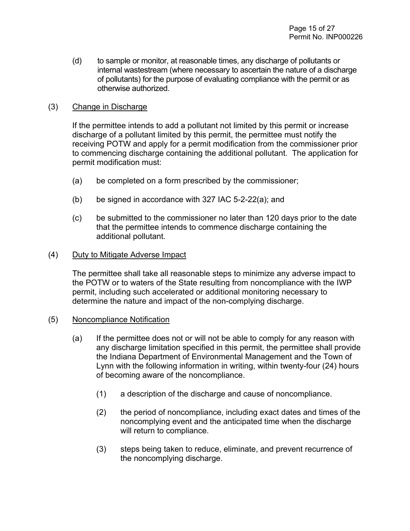(d) to sample or monitor, at reasonable times, any discharge of pollutants or internal wastestream (where necessary to ascertain the nature of a discharge of pollutants) for the purpose of evaluating compliance with the permit or as otherwise authorized.

#### (3) Change in Discharge

If the permittee intends to add a pollutant not limited by this permit or increase discharge of a pollutant limited by this permit, the permittee must notify the receiving POTW and apply for a permit modification from the commissioner prior to commencing discharge containing the additional pollutant. The application for permit modification must:

- (a) be completed on a form prescribed by the commissioner;
- (b) be signed in accordance with 327 IAC 5-2-22(a); and
- (c) be submitted to the commissioner no later than 120 days prior to the date that the permittee intends to commence discharge containing the additional pollutant.

#### (4) Duty to Mitigate Adverse Impact

The permittee shall take all reasonable steps to minimize any adverse impact to the POTW or to waters of the State resulting from noncompliance with the IWP permit, including such accelerated or additional monitoring necessary to determine the nature and impact of the non-complying discharge.

#### (5) Noncompliance Notification

- (a) If the permittee does not or will not be able to comply for any reason with any discharge limitation specified in this permit, the permittee shall provide the Indiana Department of Environmental Management and the Town of Lynn with the following information in writing, within twenty-four (24) hours of becoming aware of the noncompliance.
	- (1) a description of the discharge and cause of noncompliance.
	- (2) the period of noncompliance, including exact dates and times of the noncomplying event and the anticipated time when the discharge will return to compliance.
	- (3) steps being taken to reduce, eliminate, and prevent recurrence of the noncomplying discharge.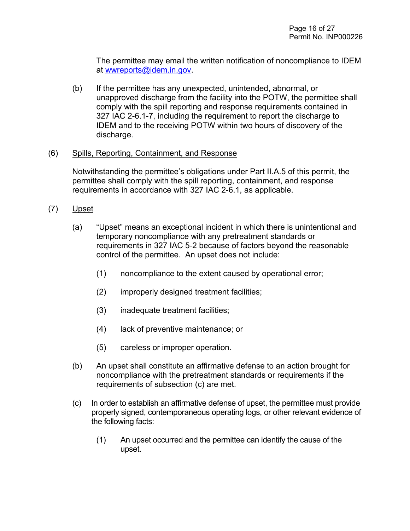The permittee may email the written notification of noncompliance to IDEM at [wwreports@idem.in.gov.](mailto:wwreports@idem.in.gov)

(b) If the permittee has any unexpected, unintended, abnormal, or unapproved discharge from the facility into the POTW, the permittee shall comply with the spill reporting and response requirements contained in 327 IAC 2-6.1-7, including the requirement to report the discharge to IDEM and to the receiving POTW within two hours of discovery of the discharge.

#### (6) Spills, Reporting, Containment, and Response

Notwithstanding the permittee's obligations under Part II.A.5 of this permit, the permittee shall comply with the spill reporting, containment, and response requirements in accordance with 327 IAC 2-6.1, as applicable.

- (7) Upset
	- (a) "Upset" means an exceptional incident in which there is unintentional and temporary noncompliance with any pretreatment standards or requirements in 327 IAC 5-2 because of factors beyond the reasonable control of the permittee. An upset does not include:
		- (1) noncompliance to the extent caused by operational error;
		- (2) improperly designed treatment facilities;
		- (3) inadequate treatment facilities;
		- (4) lack of preventive maintenance; or
		- (5) careless or improper operation.
	- (b) An upset shall constitute an affirmative defense to an action brought for noncompliance with the pretreatment standards or requirements if the requirements of subsection (c) are met.
	- (c) In order to establish an affirmative defense of upset, the permittee must provide properly signed, contemporaneous operating logs, or other relevant evidence of the following facts:
		- (1) An upset occurred and the permittee can identify the cause of the upset.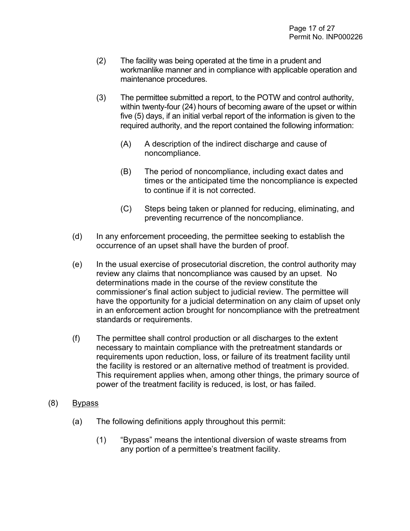- (2) The facility was being operated at the time in a prudent and workmanlike manner and in compliance with applicable operation and maintenance procedures.
- (3) The permittee submitted a report, to the POTW and control authority, within twenty-four (24) hours of becoming aware of the upset or within five (5) days, if an initial verbal report of the information is given to the required authority, and the report contained the following information:
	- (A) A description of the indirect discharge and cause of noncompliance.
	- (B) The period of noncompliance, including exact dates and times or the anticipated time the noncompliance is expected to continue if it is not corrected.
	- (C) Steps being taken or planned for reducing, eliminating, and preventing recurrence of the noncompliance.
- (d) In any enforcement proceeding, the permittee seeking to establish the occurrence of an upset shall have the burden of proof.
- (e) In the usual exercise of prosecutorial discretion, the control authority may review any claims that noncompliance was caused by an upset. No determinations made in the course of the review constitute the commissioner's final action subject to judicial review. The permittee will have the opportunity for a judicial determination on any claim of upset only in an enforcement action brought for noncompliance with the pretreatment standards or requirements.
- (f) The permittee shall control production or all discharges to the extent necessary to maintain compliance with the pretreatment standards or requirements upon reduction, loss, or failure of its treatment facility until the facility is restored or an alternative method of treatment is provided. This requirement applies when, among other things, the primary source of power of the treatment facility is reduced, is lost, or has failed.
- (8) Bypass
	- (a) The following definitions apply throughout this permit:
		- (1) "Bypass" means the intentional diversion of waste streams from any portion of a permittee's treatment facility.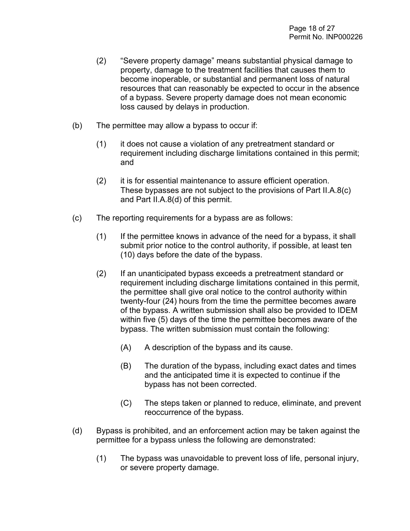- (2) "Severe property damage" means substantial physical damage to property, damage to the treatment facilities that causes them to become inoperable, or substantial and permanent loss of natural resources that can reasonably be expected to occur in the absence of a bypass. Severe property damage does not mean economic loss caused by delays in production.
- (b) The permittee may allow a bypass to occur if:
	- (1) it does not cause a violation of any pretreatment standard or requirement including discharge limitations contained in this permit; and
	- (2) it is for essential maintenance to assure efficient operation. These bypasses are not subject to the provisions of Part II.A.8(c) and Part II.A.8(d) of this permit.
- (c) The reporting requirements for a bypass are as follows:
	- (1) If the permittee knows in advance of the need for a bypass, it shall submit prior notice to the control authority, if possible, at least ten (10) days before the date of the bypass.
	- (2) If an unanticipated bypass exceeds a pretreatment standard or requirement including discharge limitations contained in this permit, the permittee shall give oral notice to the control authority within twenty-four (24) hours from the time the permittee becomes aware of the bypass. A written submission shall also be provided to IDEM within five (5) days of the time the permittee becomes aware of the bypass. The written submission must contain the following:
		- (A) A description of the bypass and its cause.
		- (B) The duration of the bypass, including exact dates and times and the anticipated time it is expected to continue if the bypass has not been corrected.
		- (C) The steps taken or planned to reduce, eliminate, and prevent reoccurrence of the bypass.
- (d) Bypass is prohibited, and an enforcement action may be taken against the permittee for a bypass unless the following are demonstrated:
	- (1) The bypass was unavoidable to prevent loss of life, personal injury, or severe property damage.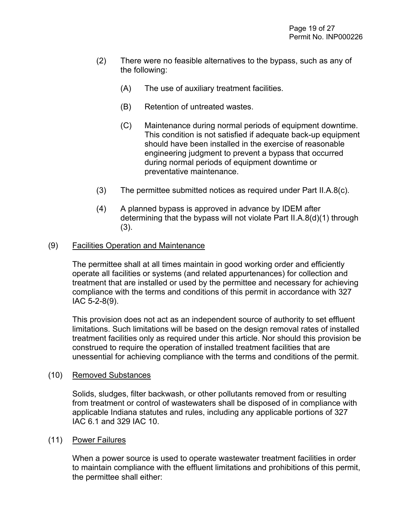- (2) There were no feasible alternatives to the bypass, such as any of the following:
	- (A) The use of auxiliary treatment facilities.
	- (B) Retention of untreated wastes.
	- (C) Maintenance during normal periods of equipment downtime. This condition is not satisfied if adequate back-up equipment should have been installed in the exercise of reasonable engineering judgment to prevent a bypass that occurred during normal periods of equipment downtime or preventative maintenance.
- (3) The permittee submitted notices as required under Part II.A.8(c).
- (4) A planned bypass is approved in advance by IDEM after determining that the bypass will not violate Part II.A.8(d)(1) through (3).

#### (9) Facilities Operation and Maintenance

The permittee shall at all times maintain in good working order and efficiently operate all facilities or systems (and related appurtenances) for collection and treatment that are installed or used by the permittee and necessary for achieving compliance with the terms and conditions of this permit in accordance with 327 IAC 5-2-8(9).

This provision does not act as an independent source of authority to set effluent limitations. Such limitations will be based on the design removal rates of installed treatment facilities only as required under this article. Nor should this provision be construed to require the operation of installed treatment facilities that are unessential for achieving compliance with the terms and conditions of the permit.

#### (10) Removed Substances

Solids, sludges, filter backwash, or other pollutants removed from or resulting from treatment or control of wastewaters shall be disposed of in compliance with applicable Indiana statutes and rules, including any applicable portions of 327 IAC 6.1 and 329 IAC 10.

#### (11) Power Failures

When a power source is used to operate wastewater treatment facilities in order to maintain compliance with the effluent limitations and prohibitions of this permit, the permittee shall either: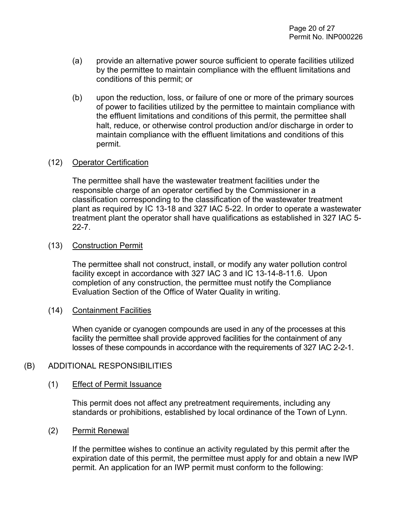- (a) provide an alternative power source sufficient to operate facilities utilized by the permittee to maintain compliance with the effluent limitations and conditions of this permit; or
- (b) upon the reduction, loss, or failure of one or more of the primary sources of power to facilities utilized by the permittee to maintain compliance with the effluent limitations and conditions of this permit, the permittee shall halt, reduce, or otherwise control production and/or discharge in order to maintain compliance with the effluent limitations and conditions of this permit.

#### (12) Operator Certification

The permittee shall have the wastewater treatment facilities under the responsible charge of an operator certified by the Commissioner in a classification corresponding to the classification of the wastewater treatment plant as required by IC 13-18 and 327 IAC 5-22. In order to operate a wastewater treatment plant the operator shall have qualifications as established in 327 IAC 5- 22-7.

#### (13) Construction Permit

The permittee shall not construct, install, or modify any water pollution control facility except in accordance with 327 IAC 3 and IC 13-14-8-11.6. Upon completion of any construction, the permittee must notify the Compliance Evaluation Section of the Office of Water Quality in writing.

#### (14) Containment Facilities

When cyanide or cyanogen compounds are used in any of the processes at this facility the permittee shall provide approved facilities for the containment of any losses of these compounds in accordance with the requirements of 327 IAC 2-2-1.

#### (B) ADDITIONAL RESPONSIBILITIES

#### (1) Effect of Permit Issuance

This permit does not affect any pretreatment requirements, including any standards or prohibitions, established by local ordinance of the Town of Lynn.

#### (2) Permit Renewal

If the permittee wishes to continue an activity regulated by this permit after the expiration date of this permit, the permittee must apply for and obtain a new IWP permit. An application for an IWP permit must conform to the following: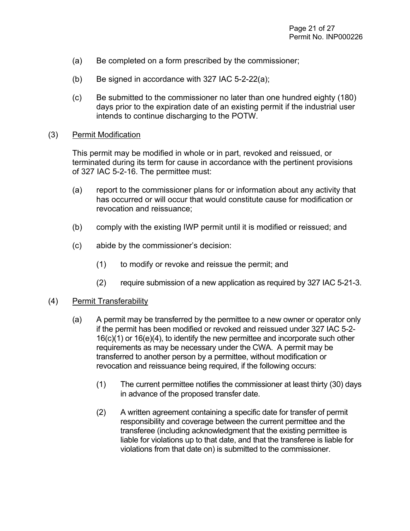- (a) Be completed on a form prescribed by the commissioner;
- (b) Be signed in accordance with 327 IAC  $5-2-22(a)$ ;
- (c) Be submitted to the commissioner no later than one hundred eighty (180) days prior to the expiration date of an existing permit if the industrial user intends to continue discharging to the POTW.

#### (3) Permit Modification

This permit may be modified in whole or in part, revoked and reissued, or terminated during its term for cause in accordance with the pertinent provisions of 327 IAC 5-2-16. The permittee must:

- (a) report to the commissioner plans for or information about any activity that has occurred or will occur that would constitute cause for modification or revocation and reissuance;
- (b) comply with the existing IWP permit until it is modified or reissued; and
- (c) abide by the commissioner's decision:
	- (1) to modify or revoke and reissue the permit; and
	- (2) require submission of a new application as required by 327 IAC 5-21-3.

#### (4) Permit Transferability

- (a) A permit may be transferred by the permittee to a new owner or operator only if the permit has been modified or revoked and reissued under 327 IAC 5-2- 16(c)(1) or 16(e)(4), to identify the new permittee and incorporate such other requirements as may be necessary under the CWA. A permit may be transferred to another person by a permittee, without modification or revocation and reissuance being required, if the following occurs:
	- (1) The current permittee notifies the commissioner at least thirty (30) days in advance of the proposed transfer date.
	- (2) A written agreement containing a specific date for transfer of permit responsibility and coverage between the current permittee and the transferee (including acknowledgment that the existing permittee is liable for violations up to that date, and that the transferee is liable for violations from that date on) is submitted to the commissioner.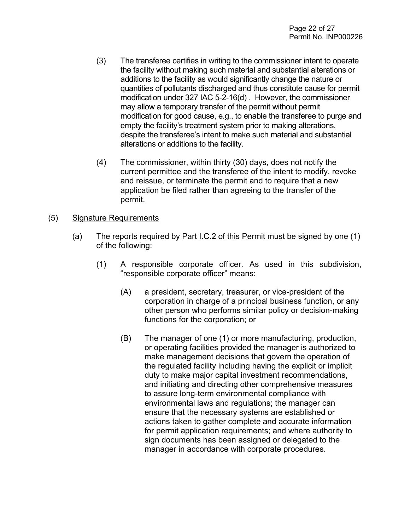- (3) The transferee certifies in writing to the commissioner intent to operate the facility without making such material and substantial alterations or additions to the facility as would significantly change the nature or quantities of pollutants discharged and thus constitute cause for permit modification under 327 IAC 5-2-16(d) . However, the commissioner may allow a temporary transfer of the permit without permit modification for good cause, e.g., to enable the transferee to purge and empty the facility's treatment system prior to making alterations, despite the transferee's intent to make such material and substantial alterations or additions to the facility.
- (4) The commissioner, within thirty (30) days, does not notify the current permittee and the transferee of the intent to modify, revoke and reissue, or terminate the permit and to require that a new application be filed rather than agreeing to the transfer of the permit.
- (5) Signature Requirements
	- (a) The reports required by Part I.C.2 of this Permit must be signed by one (1) of the following:
		- (1) A responsible corporate officer. As used in this subdivision, "responsible corporate officer" means:
			- (A) a president, secretary, treasurer, or vice-president of the corporation in charge of a principal business function, or any other person who performs similar policy or decision-making functions for the corporation; or
			- (B) The manager of one (1) or more manufacturing, production, or operating facilities provided the manager is authorized to make management decisions that govern the operation of the regulated facility including having the explicit or implicit duty to make major capital investment recommendations, and initiating and directing other comprehensive measures to assure long-term environmental compliance with environmental laws and regulations; the manager can ensure that the necessary systems are established or actions taken to gather complete and accurate information for permit application requirements; and where authority to sign documents has been assigned or delegated to the manager in accordance with corporate procedures.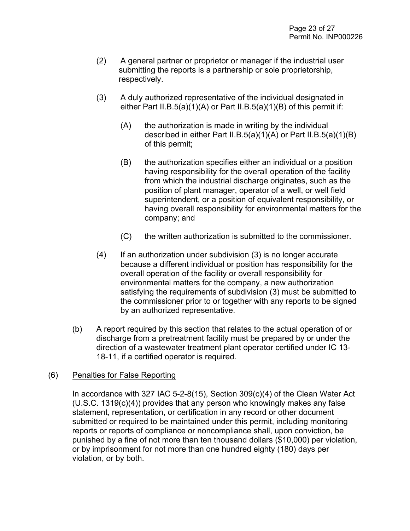- (2) A general partner or proprietor or manager if the industrial user submitting the reports is a partnership or sole proprietorship, respectively.
- (3) A duly authorized representative of the individual designated in either Part II.B.5(a)(1)(A) or Part II.B.5(a)(1)(B) of this permit if:
	- (A) the authorization is made in writing by the individual described in either Part II.B.5(a)(1)(A) or Part II.B.5(a)(1)(B) of this permit;
	- (B) the authorization specifies either an individual or a position having responsibility for the overall operation of the facility from which the industrial discharge originates, such as the position of plant manager, operator of a well, or well field superintendent, or a position of equivalent responsibility, or having overall responsibility for environmental matters for the company; and
	- (C) the written authorization is submitted to the commissioner.
- (4) If an authorization under subdivision (3) is no longer accurate because a different individual or position has responsibility for the overall operation of the facility or overall responsibility for environmental matters for the company, a new authorization satisfying the requirements of subdivision (3) must be submitted to the commissioner prior to or together with any reports to be signed by an authorized representative.
- (b) A report required by this section that relates to the actual operation of or discharge from a pretreatment facility must be prepared by or under the direction of a wastewater treatment plant operator certified under IC 13- 18-11, if a certified operator is required.

#### (6) Penalties for False Reporting

In accordance with 327 IAC 5-2-8(15), Section 309(c)(4) of the Clean Water Act (U.S.C. 1319(c)(4)) provides that any person who knowingly makes any false statement, representation, or certification in any record or other document submitted or required to be maintained under this permit, including monitoring reports or reports of compliance or noncompliance shall, upon conviction, be punished by a fine of not more than ten thousand dollars (\$10,000) per violation, or by imprisonment for not more than one hundred eighty (180) days per violation, or by both.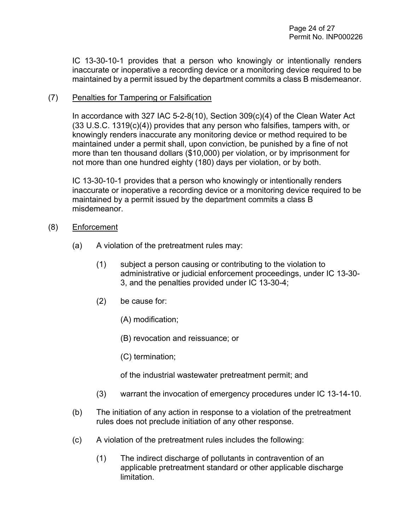IC 13-30-10-1 provides that a person who knowingly or intentionally renders inaccurate or inoperative a recording device or a monitoring device required to be maintained by a permit issued by the department commits a class B misdemeanor.

#### (7) Penalties for Tampering or Falsification

In accordance with 327 IAC 5-2-8(10), Section 309(c)(4) of the Clean Water Act (33 U.S.C. 1319(c)(4)) provides that any person who falsifies, tampers with, or knowingly renders inaccurate any monitoring device or method required to be maintained under a permit shall, upon conviction, be punished by a fine of not more than ten thousand dollars (\$10,000) per violation, or by imprisonment for not more than one hundred eighty (180) days per violation, or by both.

IC 13-30-10-1 provides that a person who knowingly or intentionally renders inaccurate or inoperative a recording device or a monitoring device required to be maintained by a permit issued by the department commits a class B misdemeanor.

- (8) Enforcement
	- (a) A violation of the pretreatment rules may:
		- (1) subject a person causing or contributing to the violation to administrative or judicial enforcement proceedings, under IC 13-30- 3, and the penalties provided under IC 13-30-4;
		- (2) be cause for:
			- (A) modification;
			- (B) revocation and reissuance; or
			- (C) termination;

of the industrial wastewater pretreatment permit; and

- (3) warrant the invocation of emergency procedures under IC 13-14-10.
- (b) The initiation of any action in response to a violation of the pretreatment rules does not preclude initiation of any other response.
- (c) A violation of the pretreatment rules includes the following:
	- (1) The indirect discharge of pollutants in contravention of an applicable pretreatment standard or other applicable discharge limitation.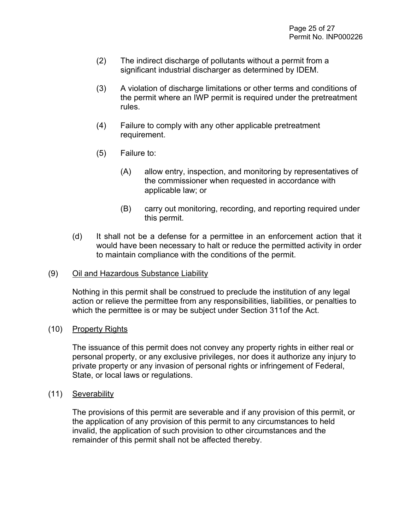- (2) The indirect discharge of pollutants without a permit from a significant industrial discharger as determined by IDEM.
- (3) A violation of discharge limitations or other terms and conditions of the permit where an IWP permit is required under the pretreatment rules.
- (4) Failure to comply with any other applicable pretreatment requirement.
- (5) Failure to:
	- (A) allow entry, inspection, and monitoring by representatives of the commissioner when requested in accordance with applicable law; or
	- (B) carry out monitoring, recording, and reporting required under this permit.
- (d) It shall not be a defense for a permittee in an enforcement action that it would have been necessary to halt or reduce the permitted activity in order to maintain compliance with the conditions of the permit.

#### (9) Oil and Hazardous Substance Liability

Nothing in this permit shall be construed to preclude the institution of any legal action or relieve the permittee from any responsibilities, liabilities, or penalties to which the permittee is or may be subject under Section 311of the Act.

#### (10) Property Rights

The issuance of this permit does not convey any property rights in either real or personal property, or any exclusive privileges, nor does it authorize any injury to private property or any invasion of personal rights or infringement of Federal, State, or local laws or regulations.

#### (11) Severability

The provisions of this permit are severable and if any provision of this permit, or the application of any provision of this permit to any circumstances to held invalid, the application of such provision to other circumstances and the remainder of this permit shall not be affected thereby.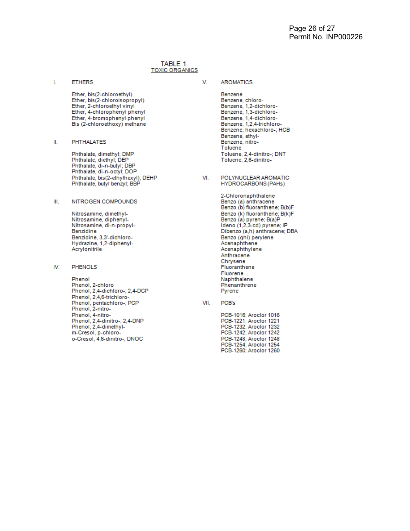#### TABLE 1. **TOXIC ORGANICS**

**ETHERS** I.

V.

- Ether, bis(2-chloroethyl) Ether, bis(2-chloroisopropyl) Ether, 2-chloroethyl vinyl Ether, 4-chlorophenyl phenyl Ether, 4-bromophenyl phenyl Bis (2-chloroethoxy) methane
- **PHTHALATES** Ш.

Phthalate, dimethyl; DMP Phthalate, diethyl; DEP Phthalate, di-n-butyl; DBP Phthalate, di-n-octyl; DOP Phthalate, bis(2-ethylhexyl); DEHP Phthalate, butyl benzyl; BBP

#### NITROGEN COMPOUNDS Ш.

Nitrosamine, dimethyl-Nitrosamine, diphenyl-Nitrosamine, di-n-propyl-Benzidine Benzidine, 3,3'-dichloro-Hydrazine, 1,2-diphenyl-Acrylonitrile

#### IV. **PHENOLS**

Phenol Phenol, 2-chloro Phenol, 2,4-dichloro-; 2,4-DCP Phenol, 2,4,6-trichloro-Phenol, pentachloro-; PCP Phenol, 2-nitro-Phenol, 4-nitro-<br>Phenol, 2,4-dinitro-; 2,4-DNP Phenol, 2,4-dimethylm-Cresol, p-chloroo-Cresol, 4,6-dinitro-; DNOC

- **AROMATICS** 
	- Benzene Benzene, chloro-Benzene, 1,2-dichloro-Benzene, 1.3-dichloro-Benzene, 1,4-dichloro-Benzene, 1,2,4-trichloro-Benzene, hexachloro-; HCB Benzene, ethyl-Benzene, nitro-Toluene Toluene, 2,4-dinitro-; DNT Toluene, 2,6-dinitro-
- POLYNUCLEAR AROMATIC VI. HYDROCARBONS (PAHs)

2-Chloronaphthalene Benzo (a) anthracene Benzo (b) fluoranthene; B(b)F Benzo (k) fluoranthene; B(k)F Benzo (a) pyrene; B(a)P<br>Ideno (1,2,3-cd) pyrene; IP Dibenzo (a,h) anthracene; DBA Benzo (ghi) perylene<br>Acenaphthene Acenaphthylene Anthracene Chrysene Fluoranthene Fluorene Naphthalene Phenanthrene Pyrene

- VII. PCB's
	- PCB-1016: Aroclor 1016 PCB-1221; Aroclor 1221 PCB-1232; Aroclor 1232 PCB-1242; Aroclor 1242 PCB-1248; Aroclor 1248 PCB-1254; Aroclor 1254 PCB-1260; Aroclor 1260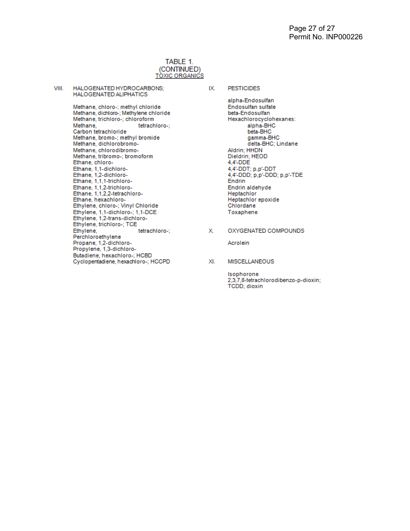#### TABLE 1. (CONTINUED) **TÒXIC ORGANICS**

VIII. HALOGENATED HYDROCARBONS; HALOGENATED ALIPHATICS

> Methane, chloro-; methyl chloride Methane, dichloro-; Methylene chloride Methane, trichloro-; chloroform Methane, tetrachloro-; Carbon tetrachloride Methane, bromo-; methyl bromide Methane, dichlorobromo-Methane, chlorodibromo-Methane, tribromo-; bromoform Ethane, chloro-Ethane, 1,1-dichloro-Ethane, 1,2-dichloro-Ethane, 1,1,1-trichloro-Ethane, 1,1,2-trichloro-<br>Ethane, 1,1,2,2-tetrachloro-Ethane, hexachloro-Ethylene, chloro-; Vinyl Chloride Ethylene, 1,1-dichloro-; 1,1-DCE<br>Ethylene, 1,2-trans-dichloro-Ethylene, trichloro-; TCE Ethylene, tetrachloro-; Perchloroethylene Propane, 1,2-dichloro-Propylene, 1,3-dichloro-Butadiene, hexachloro-; HCBD Cyclopentadiene, hexachloro-; HCCPD

#### IX. **PESTICIDES**

alpha-Endosulfan Endosulfan sulfate beta-Endosulfan Hexachlorocyclohexanes: alpha-BHC beta-BHC gamma-BHC delta-BHC; Lindane Aldrin; HHDN Dieldrin; HEOD 4,4'-DDE 4,4'-DDT; p,p'-DDT 4,4'-DDD; p,p'-DDD; p,p'-TDE Endrin Endrin aldehyde Heptachlor Heptachlor epoxide Chlordane Toxaphene

Х. OXYGENATED COMPOUNDS

Acrolein

XI. MISCELLANEOUS

> Isophorone 2,3,7,8-tetrachlorodibenzo-p-dioxin; **TCDD**; dioxin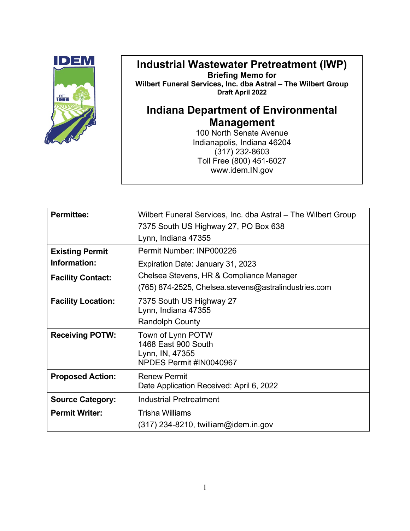

# **Industrial Wastewater Pretreatment (IWP)**

**Briefing Memo for Wilbert Funeral Services, Inc. dba Astral – The Wilbert Group Draft April 2022**

# **Indiana Department of Environmental Management**

100 North Senate Avenue Indianapolis, Indiana 46204 (317) 232-8603 Toll Free (800) 451-6027 www.idem.IN.gov

| <b>Permittee:</b>         | Wilbert Funeral Services, Inc. dba Astral – The Wilbert Group                          |
|---------------------------|----------------------------------------------------------------------------------------|
|                           | 7375 South US Highway 27, PO Box 638                                                   |
|                           | Lynn, Indiana 47355                                                                    |
| <b>Existing Permit</b>    | Permit Number: INP000226                                                               |
| Information:              | Expiration Date: January 31, 2023                                                      |
| <b>Facility Contact:</b>  | Chelsea Stevens, HR & Compliance Manager                                               |
|                           | (765) 874-2525, Chelsea.stevens@astralindustries.com                                   |
| <b>Facility Location:</b> | 7375 South US Highway 27<br>Lynn, Indiana 47355<br><b>Randolph County</b>              |
| <b>Receiving POTW:</b>    | Town of Lynn POTW<br>1468 East 900 South<br>Lynn, IN, 47355<br>NPDES Permit #IN0040967 |
| <b>Proposed Action:</b>   | Renew Permit<br>Date Application Received: April 6, 2022                               |
| <b>Source Category:</b>   | <b>Industrial Pretreatment</b>                                                         |
| <b>Permit Writer:</b>     | <b>Trisha Williams</b><br>$(317)$ 234-8210, twilliam@idem.in.gov                       |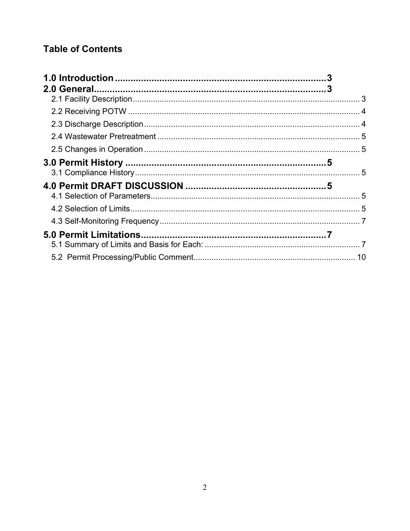## **Table of Contents**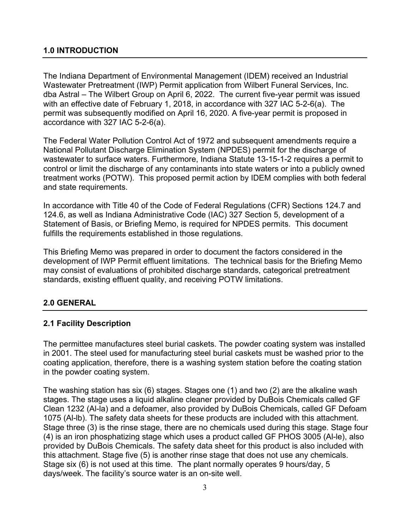<span id="page-31-0"></span>The Indiana Department of Environmental Management (IDEM) received an Industrial Wastewater Pretreatment (IWP) Permit application from Wilbert Funeral Services, Inc. dba Astral – The Wilbert Group on April 6, 2022. The current five-year permit was issued with an effective date of February 1, 2018, in accordance with 327 IAC 5-2-6(a). The permit was subsequently modified on April 16, 2020. A five-year permit is proposed in accordance with 327 IAC 5-2-6(a).

The Federal Water Pollution Control Act of 1972 and subsequent amendments require a National Pollutant Discharge Elimination System (NPDES) permit for the discharge of wastewater to surface waters. Furthermore, Indiana Statute 13-15-1-2 requires a permit to control or limit the discharge of any contaminants into state waters or into a publicly owned treatment works (POTW). This proposed permit action by IDEM complies with both federal and state requirements.

In accordance with Title 40 of the Code of Federal Regulations (CFR) Sections 124.7 and 124.6, as well as Indiana Administrative Code (IAC) 327 Section 5, development of a Statement of Basis, or Briefing Memo, is required for NPDES permits. This document fulfills the requirements established in those regulations.

This Briefing Memo was prepared in order to document the factors considered in the development of IWP Permit effluent limitations. The technical basis for the Briefing Memo may consist of evaluations of prohibited discharge standards, categorical pretreatment standards, existing effluent quality, and receiving POTW limitations.

## <span id="page-31-1"></span>**2.0 GENERAL**

#### <span id="page-31-2"></span>**2.1 Facility Description**

The permittee manufactures steel burial caskets. The powder coating system was installed in 2001. The steel used for manufacturing steel burial caskets must be washed prior to the coating application, therefore, there is a washing system station before the coating station in the powder coating system.

The washing station has six (6) stages. Stages one (1) and two (2) are the alkaline wash stages. The stage uses a liquid alkaline cleaner provided by DuBois Chemicals called GF Clean 1232 (Al-la) and a defoamer, also provided by DuBois Chemicals, called GF Defoam 1075 (Al-lb). The safety data sheets for these products are included with this attachment. Stage three (3) is the rinse stage, there are no chemicals used during this stage. Stage four (4) is an iron phosphatizing stage which uses a product called GF PHOS 3005 (Al-le), also provided by DuBois Chemicals. The safety data sheet for this product is also included with this attachment. Stage five (5) is another rinse stage that does not use any chemicals. Stage six (6) is not used at this time. The plant normally operates 9 hours/day, 5 days/week. The facility's source water is an on-site well.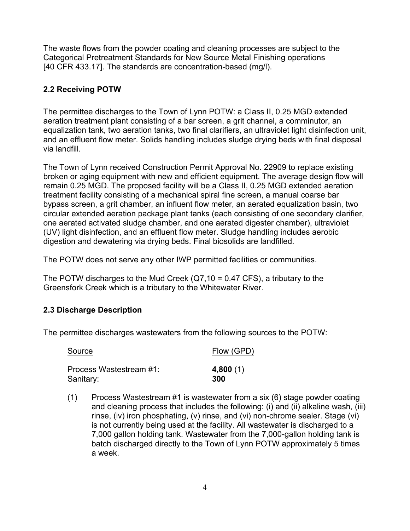The waste flows from the powder coating and cleaning processes are subject to the Categorical Pretreatment Standards for New Source Metal Finishing operations [40 CFR 433.17]. The standards are concentration-based (mg/l).

### <span id="page-32-0"></span>**2.2 Receiving POTW**

The permittee discharges to the Town of Lynn POTW: a Class II, 0.25 MGD extended aeration treatment plant consisting of a bar screen, a grit channel, a comminutor, an equalization tank, two aeration tanks, two final clarifiers, an ultraviolet light disinfection unit, and an effluent flow meter. Solids handling includes sludge drying beds with final disposal via landfill.

The Town of Lynn received Construction Permit Approval No. 22909 to replace existing broken or aging equipment with new and efficient equipment. The average design flow will remain 0.25 MGD. The proposed facility will be a Class II, 0.25 MGD extended aeration treatment facility consisting of a mechanical spiral fine screen, a manual coarse bar bypass screen, a grit chamber, an influent flow meter, an aerated equalization basin, two circular extended aeration package plant tanks (each consisting of one secondary clarifier, one aerated activated sludge chamber, and one aerated digester chamber), ultraviolet (UV) light disinfection, and an effluent flow meter. Sludge handling includes aerobic digestion and dewatering via drying beds. Final biosolids are landfilled.

The POTW does not serve any other IWP permitted facilities or communities.

The POTW discharges to the Mud Creek  $(Q7, 10 = 0.47$  CFS), a tributary to the Greensfork Creek which is a tributary to the Whitewater River.

#### <span id="page-32-1"></span>**2.3 Discharge Description**

The permittee discharges wastewaters from the following sources to the POTW:

| Source                  | Flow (GPD) |
|-------------------------|------------|
| Process Wastestream #1: | 4,800(1)   |
| Sanitary:               | 300        |

(1) Process Wastestream #1 is wastewater from a six (6) stage powder coating and cleaning process that includes the following: (i) and (ii) alkaline wash, (iii) rinse, (iv) iron phosphating, (v) rinse, and (vi) non-chrome sealer. Stage (vi) is not currently being used at the facility. All wastewater is discharged to a 7,000 gallon holding tank. Wastewater from the 7,000-gallon holding tank is batch discharged directly to the Town of Lynn POTW approximately 5 times a week.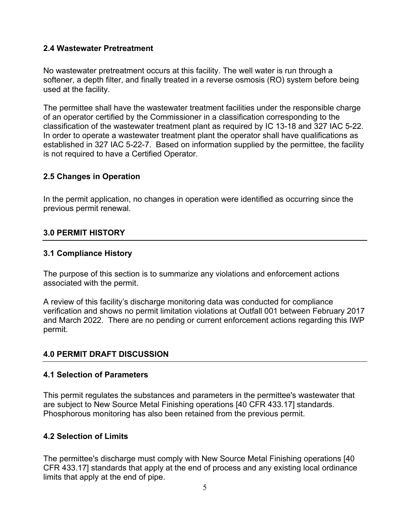#### <span id="page-33-0"></span>**2.4 Wastewater Pretreatment**

No wastewater pretreatment occurs at this facility. The well water is run through a softener, a depth filter, and finally treated in a reverse osmosis (RO) system before being used at the facility.

The permittee shall have the wastewater treatment facilities under the responsible charge of an operator certified by the Commissioner in a classification corresponding to the classification of the wastewater treatment plant as required by IC 13-18 and 327 IAC 5-22. In order to operate a wastewater treatment plant the operator shall have qualifications as established in 327 IAC 5-22-7. Based on information supplied by the permittee, the facility is not required to have a Certified Operator.

#### <span id="page-33-1"></span>**2.5 Changes in Operation**

In the permit application, no changes in operation were identified as occurring since the previous permit renewal.

#### <span id="page-33-2"></span>**3.0 PERMIT HISTORY**

#### <span id="page-33-3"></span>**3.1 Compliance History**

The purpose of this section is to summarize any violations and enforcement actions associated with the permit.

A review of this facility's discharge monitoring data was conducted for compliance verification and shows no permit limitation violations at Outfall 001 between February 2017 and March 2022. There are no pending or current enforcement actions regarding this IWP permit.

#### <span id="page-33-4"></span>**4.0 PERMIT DRAFT DISCUSSION**

#### <span id="page-33-5"></span>**4.1 Selection of Parameters**

This permit regulates the substances and parameters in the permittee's wastewater that are subject to New Source Metal Finishing operations [40 CFR 433.17] standards. Phosphorous monitoring has also been retained from the previous permit.

#### <span id="page-33-6"></span>**4.2 Selection of Limits**

The permittee's discharge must comply with New Source Metal Finishing operations [40 CFR 433.17] standards that apply at the end of process and any existing local ordinance limits that apply at the end of pipe.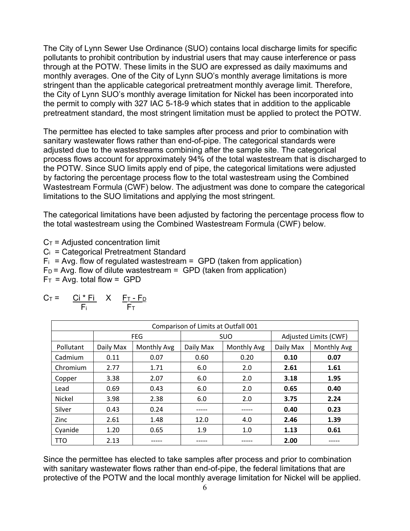The City of Lynn Sewer Use Ordinance (SUO) contains local discharge limits for specific pollutants to prohibit contribution by industrial users that may cause interference or pass through at the POTW. These limits in the SUO are expressed as daily maximums and monthly averages. One of the City of Lynn SUO's monthly average limitations is more stringent than the applicable categorical pretreatment monthly average limit. Therefore, the City of Lynn SUO's monthly average limitation for Nickel has been incorporated into the permit to comply with 327 IAC 5-18-9 which states that in addition to the applicable pretreatment standard, the most stringent limitation must be applied to protect the POTW.

The permittee has elected to take samples after process and prior to combination with sanitary wastewater flows rather than end-of-pipe. The categorical standards were adjusted due to the wastestreams combining after the sample site. The categorical process flows account for approximately 94% of the total wastestream that is discharged to the POTW. Since SUO limits apply end of pipe, the categorical limitations were adjusted by factoring the percentage process flow to the total wastestream using the Combined Wastestream Formula (CWF) below. The adjustment was done to compare the categorical limitations to the SUO limitations and applying the most stringent.

The categorical limitations have been adjusted by factoring the percentage process flow to the total wastestream using the Combined Wastestream Formula (CWF) below.

 $C_T$  = Adjusted concentration limit  $C_i$  = Categorical Pretreatment Standard

 $F_i$  = Avg. flow of regulated wastestream = GPD (taken from application)  $F_D$  = Avg. flow of dilute wastestream = GPD (taken from application)  $F_T$  = Avg. total flow = GPD

$$
C_T = \frac{Ci * Fi}{F_i} \times \frac{F_T - F_D}{F_T}
$$

| Comparison of Limits at Outfall 001 |           |             |                          |       |                       |                    |  |
|-------------------------------------|-----------|-------------|--------------------------|-------|-----------------------|--------------------|--|
|                                     |           | <b>FEG</b>  | <b>SUO</b>               |       | Adjusted Limits (CWF) |                    |  |
| Pollutant                           | Daily Max | Monthly Avg | Daily Max<br>Monthly Avg |       | Daily Max             | <b>Monthly Avg</b> |  |
| Cadmium                             | 0.11      | 0.07        | 0.60                     | 0.20  | 0.10                  | 0.07               |  |
| Chromium                            | 2.77      | 1.71        | 6.0                      | 2.0   | 2.61                  | 1.61               |  |
| Copper                              | 3.38      | 2.07        | 6.0                      | 2.0   | 3.18                  | 1.95               |  |
| Lead                                | 0.69      | 0.43        | 6.0                      | 2.0   | 0.65                  | 0.40               |  |
| <b>Nickel</b>                       | 3.98      | 2.38        | 6.0                      | 2.0   | 3.75                  | 2.24               |  |
| Silver                              | 0.43      | 0.24        |                          | ----- | 0.40                  | 0.23               |  |
| Zinc                                | 2.61      | 1.48        | 12.0                     | 4.0   | 2.46                  | 1.39               |  |
| Cyanide                             | 1.20      | 0.65        | 1.9                      | 1.0   | 1.13                  | 0.61               |  |
| <b>TTO</b>                          | 2.13      |             |                          |       | 2.00                  |                    |  |

Since the permittee has elected to take samples after process and prior to combination with sanitary wastewater flows rather than end-of-pipe, the federal limitations that are protective of the POTW and the local monthly average limitation for Nickel will be applied.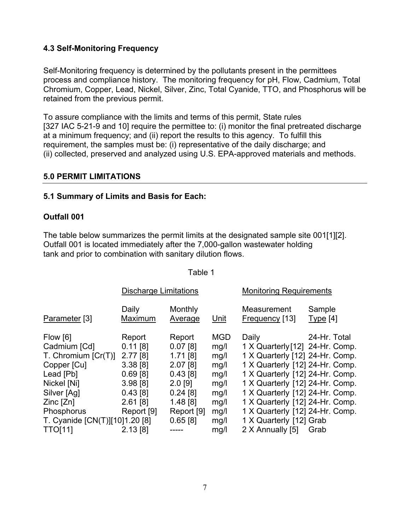#### <span id="page-35-0"></span>**4.3 Self-Monitoring Frequency**

Self-Monitoring frequency is determined by the pollutants present in the permittees process and compliance history. The monitoring frequency for pH, Flow, Cadmium, Total Chromium, Copper, Lead, Nickel, Silver, Zinc, Total Cyanide, TTO, and Phosphorus will be retained from the previous permit.

To assure compliance with the limits and terms of this permit, State rules [327 IAC 5-21-9 and 10] require the permittee to: (i) monitor the final pretreated discharge at a minimum frequency; and (ii) report the results to this agency. To fulfill this requirement, the samples must be: (i) representative of the daily discharge; and (ii) collected, preserved and analyzed using U.S. EPA-approved materials and methods.

#### <span id="page-35-1"></span>**5.0 PERMIT LIMITATIONS**

#### <span id="page-35-2"></span>**5.1 Summary of Limits and Basis for Each:**

#### **Outfall 001**

The table below summarizes the permit limits at the designated sample site 001[1][2]. Outfall 001 is located immediately after the 7,000-gallon wastewater holding tank and prior to combination with sanitary dilution flows.

|                                | <b>Discharge Limitations</b> |                    |            | <b>Monitoring Requirements</b>  |                    |  |
|--------------------------------|------------------------------|--------------------|------------|---------------------------------|--------------------|--|
| Parameter [3]                  | Daily<br>Maximum             | Monthly<br>Average | Unit       | Measurement<br>Frequency [13]   | Sample<br>Type [4] |  |
| Flow [6]                       | Report                       | Report             | <b>MGD</b> | Daily                           | 24-Hr. Total       |  |
| Cadmium [Cd]                   | $0.11$ [8]                   | $0.07$ [8]         | mg/l       | 1 X Quarterly [12] 24-Hr. Comp. |                    |  |
| T. Chromium $[Cr(T)]$          | 2.77[8]                      | $1.71$ [8]         | mg/l       | 1 X Quarterly [12] 24-Hr. Comp. |                    |  |
| Copper [Cu]                    | 3.38[8]                      | $2.07$ [8]         | mg/l       | 1 X Quarterly [12] 24-Hr. Comp. |                    |  |
| Lead [Pb]                      | $0.69$ [8]                   | 0.43[8]            | mg/l       | 1 X Quarterly [12] 24-Hr. Comp. |                    |  |
| Nickel [Ni]                    | 3.98[8]                      | $2.0$ [9]          | mg/l       | 1 X Quarterly [12] 24-Hr. Comp. |                    |  |
| Silver [Ag]                    | 0.43[8]                      | $0.24$ [8]         | mg/l       | 1 X Quarterly [12] 24-Hr. Comp. |                    |  |
| $Zinc$ $[Zn]$                  | $2.61$ [8]                   | $1.48$ [8]         | mg/l       | 1 X Quarterly [12] 24-Hr. Comp. |                    |  |
| Phosphorus                     | Report [9]                   | Report [9]         | mg/l       | 1 X Quarterly [12] 24-Hr. Comp. |                    |  |
| T. Cyanide [CN(T)][10]1.20 [8] |                              | 0.65[8]            | mg/l       | 1 X Quarterly [12] Grab         |                    |  |
| <b>TTO[11]</b>                 | 2.13[8]                      |                    | mg/l       | 2 X Annually [5]                | Grab               |  |

Table 1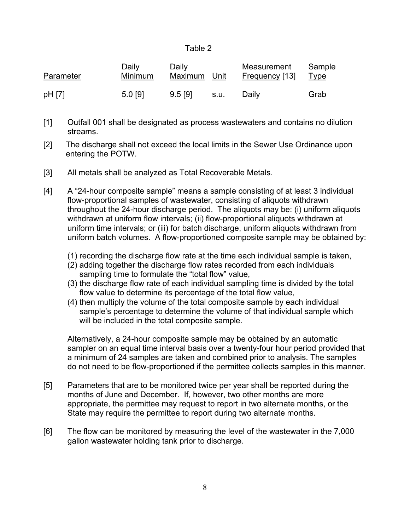#### Table 2

| Parameter | Daily<br><b>Minimum</b> | Daily<br>Maximum Unit |      | Measurement<br><u>Frequency</u> [13] | Sample<br><u>Type</u> |
|-----------|-------------------------|-----------------------|------|--------------------------------------|-----------------------|
| pH [7]    | 5.0 [9]                 | 9.5 [9]               | s.u. | Daily                                | Grab                  |

- [1] Outfall 001 shall be designated as process wastewaters and contains no dilution streams.
- [2] The discharge shall not exceed the local limits in the Sewer Use Ordinance upon entering the POTW.
- [3] All metals shall be analyzed as Total Recoverable Metals.
- [4] A "24-hour composite sample" means a sample consisting of at least 3 individual flow-proportional samples of wastewater, consisting of aliquots withdrawn throughout the 24-hour discharge period. The aliquots may be: (i) uniform aliquots withdrawn at uniform flow intervals; (ii) flow-proportional aliquots withdrawn at uniform time intervals; or (iii) for batch discharge, uniform aliquots withdrawn from uniform batch volumes. A flow-proportioned composite sample may be obtained by:
	- (1) recording the discharge flow rate at the time each individual sample is taken,
	- (2) adding together the discharge flow rates recorded from each individuals sampling time to formulate the "total flow" value,
	- (3) the discharge flow rate of each individual sampling time is divided by the total flow value to determine its percentage of the total flow value,
	- (4) then multiply the volume of the total composite sample by each individual sample's percentage to determine the volume of that individual sample which will be included in the total composite sample.

Alternatively, a 24-hour composite sample may be obtained by an automatic sampler on an equal time interval basis over a twenty-four hour period provided that a minimum of 24 samples are taken and combined prior to analysis. The samples do not need to be flow-proportioned if the permittee collects samples in this manner.

- [5] Parameters that are to be monitored twice per year shall be reported during the months of June and December. If, however, two other months are more appropriate, the permittee may request to report in two alternate months, or the State may require the permittee to report during two alternate months.
- [6] The flow can be monitored by measuring the level of the wastewater in the 7,000 gallon wastewater holding tank prior to discharge.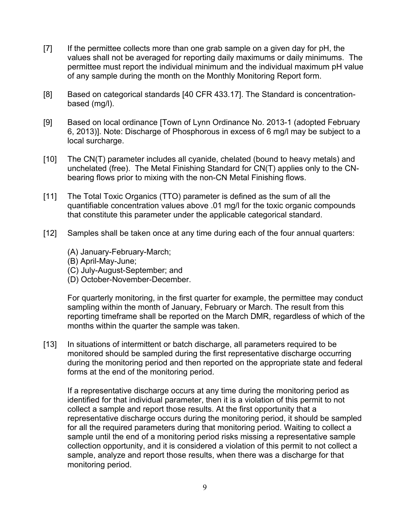- [7] If the permittee collects more than one grab sample on a given day for pH, the values shall not be averaged for reporting daily maximums or daily minimums. The permittee must report the individual minimum and the individual maximum pH value of any sample during the month on the Monthly Monitoring Report form.
- [8] Based on categorical standards [40 CFR 433.17]. The Standard is concentrationbased (mg/l).
- [9] Based on local ordinance [Town of Lynn Ordinance No. 2013-1 (adopted February 6, 2013)]. Note: Discharge of Phosphorous in excess of 6 mg/l may be subject to a local surcharge.
- [10] The CN(T) parameter includes all cyanide, chelated (bound to heavy metals) and unchelated (free). The Metal Finishing Standard for CN(T) applies only to the CNbearing flows prior to mixing with the non-CN Metal Finishing flows.
- [11] The Total Toxic Organics (TTO) parameter is defined as the sum of all the quantifiable concentration values above .01 mg/l for the toxic organic compounds that constitute this parameter under the applicable categorical standard.
- [12] Samples shall be taken once at any time during each of the four annual quarters:
	- (A) January-February-March;
	- (B) April-May-June;
	- (C) July-August-September; and
	- (D) October-November-December.

For quarterly monitoring, in the first quarter for example, the permittee may conduct sampling within the month of January, February or March. The result from this reporting timeframe shall be reported on the March DMR, regardless of which of the months within the quarter the sample was taken.

[13] In situations of intermittent or batch discharge, all parameters required to be monitored should be sampled during the first representative discharge occurring during the monitoring period and then reported on the appropriate state and federal forms at the end of the monitoring period.

If a representative discharge occurs at any time during the monitoring period as identified for that individual parameter, then it is a violation of this permit to not collect a sample and report those results. At the first opportunity that a representative discharge occurs during the monitoring period, it should be sampled for all the required parameters during that monitoring period. Waiting to collect a sample until the end of a monitoring period risks missing a representative sample collection opportunity, and it is considered a violation of this permit to not collect a sample, analyze and report those results, when there was a discharge for that monitoring period.